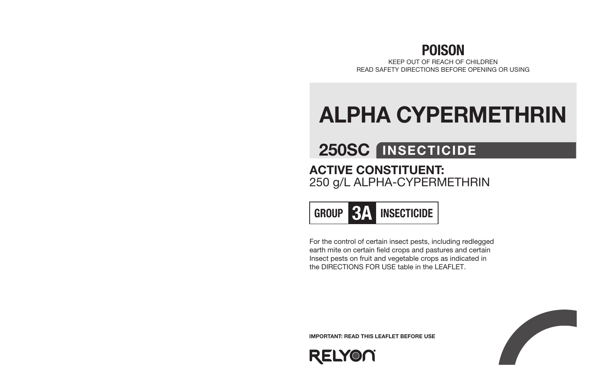### POISON

KEEP OUT OF REACH OF CHILDREN READ SAFETY DIRECTIONS BEFORE OPENING OR USING

# ALPHA CYPERMETHRIN

## 250SC INSECTICIDE

### ACTIVE CONSTITUENT: 250 g/L ALPHA-CYPERMETHRIN

GROUP **374** INSECTICIDE

For the control of certain insect pests, including redlegged earth mite on certain field crops and pastures and certain Insect pests on fruit and vegetable crops as indicated in the DIRECTIONS FOR USE table in the LEAFLET.

IMPORTANT: READ THIS LEAFLET BEFORE USE

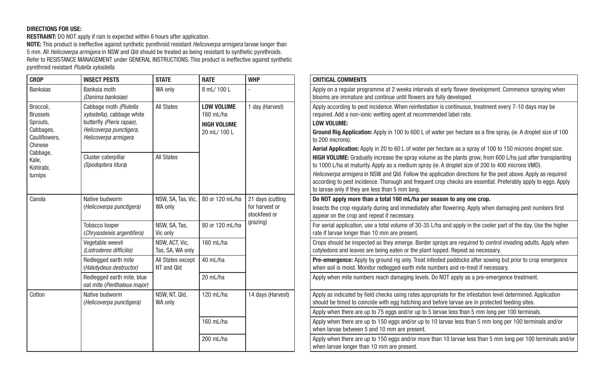#### DIRECTIONS FOR USE:

**RESTRAINT:** DO NOT apply if rain is expected within 6 hours after application. NOTE: This product is ineffective against synthetic pyrethroid resistant *Helicoverpa armigera* larvae longer than 5 mm. All *Helicoverpa armigera* in NSW and Qld should be treated as being resistant to synthetic pyrethroids. Refer to RESISTANCE MANAGEMENT under GENERAL INSTRUCTIONS. This product is ineffective against synthetic pyrethroid resistant *Plutella xylostella.*

| <b>CROP</b>                                                                                                                    | <b>INSECT PESTS</b>                                                                                                                  | <b>STATE</b>                       | <b>RATE</b>                                                          | <b>WHP</b>                                                     | <b>CRITICAL COMMENTS</b>                                                                                                                                                                                                                                                                                                                                                                                                                                                                                                                                                                                                   |
|--------------------------------------------------------------------------------------------------------------------------------|--------------------------------------------------------------------------------------------------------------------------------------|------------------------------------|----------------------------------------------------------------------|----------------------------------------------------------------|----------------------------------------------------------------------------------------------------------------------------------------------------------------------------------------------------------------------------------------------------------------------------------------------------------------------------------------------------------------------------------------------------------------------------------------------------------------------------------------------------------------------------------------------------------------------------------------------------------------------------|
| <b>Banksias</b>                                                                                                                | Banksia moth<br>(Danima banksiae)                                                                                                    | WA only                            | 8 mL/ 100 L                                                          |                                                                | Apply on a regular programme at 2 weeks intervals at early flower development. Commence spraying when<br>blooms are immature and continue until flowers are fully developed.                                                                                                                                                                                                                                                                                                                                                                                                                                               |
| Broccoli,<br><b>Brussels</b><br>Sprouts,<br>Cabbages,<br>Cauliflowers.<br>Chinese<br>Cabbage,<br>Kale,<br>Kohlrabi,<br>turnips | Cabbage moth (Plutella<br>xylostella), cabbage white<br>butterfly (Pieris rapae),<br>Helicoverpa punctigera,<br>Helicoverpa armigera | <b>All States</b>                  | <b>LOW VOLUME</b><br>160 mL/ha<br><b>HIGH VOLUME</b><br>20 mL/ 100 L | 1 day (Harvest)                                                | Apply according to pest incidence. When reinfestation is continuous, treatment every 7-10 days may be<br>required. Add a non-ionic wetting agent at recommended label rate.<br><b>LOW VOLUME:</b><br>Ground Rig Application: Apply in 100 to 600 L of water per hectare as a fine spray, (ie. A droplet size of 100<br>to 200 microns).                                                                                                                                                                                                                                                                                    |
|                                                                                                                                | Cluster caterpillar<br>(Spodoptera litura)                                                                                           | <b>All States</b>                  |                                                                      |                                                                | Aerial Application: Apply in 20 to 60 L of water per hectare as a spray of 100 to 150 microns droplet size.<br><b>HIGH VOLUME:</b> Gradually increase the spray volume as the plants grow, from 600 L/ha just after transplanting<br>to 1000 L/ha at maturity. Apply as a medium spray (ie. A droplet size of 200 to 400 microns VMD).<br>Helicoverpa armigera in NSW and Qld. Follow the application directions for the pest above. Apply as required<br>according to pest incidence. Thorough and frequent crop checks are essential. Preferably apply to eggs. Apply<br>to larvae only if they are less than 5 mm long. |
| Canola                                                                                                                         | Native budworm<br>(Helicoverpa punctigera)                                                                                           | NSW, SA, Tas, Vic,<br>WA only      | 80 or 120 mL/ha                                                      | 21 days (cutting<br>for harvest or<br>stockfeed or<br>grazing) | Do NOT apply more than a total 160 mL/ha per season to any one crop.<br>Insects the crop regularly during and immediately after flowering. Apply when damaging pest numbers first<br>appear on the crop and repeat if necessary.                                                                                                                                                                                                                                                                                                                                                                                           |
|                                                                                                                                | Tobacco looper<br>(Chrysodeixis argentifera)                                                                                         | NSW, SA, Tas,<br>Vic only          | 80 or 120 mL/ha                                                      |                                                                | For aerial application, use a total volume of 30-35 L/ha and apply in the cooler part of the day. Use the higher<br>rate if larvae longer than 10 mm are present.                                                                                                                                                                                                                                                                                                                                                                                                                                                          |
|                                                                                                                                | Vegetable weevil<br>(Listroderes difficilis)                                                                                         | NSW, ACT, Vic,<br>Tas, SA, WA only | 160 mL/ha                                                            |                                                                | Crops should be inspected as they emerge. Border sprays are required to control invading adults. Apply when<br>cotyledons and leaves are being eaten or the plant lopped. Repeat as necessary.                                                                                                                                                                                                                                                                                                                                                                                                                             |
|                                                                                                                                | Redlegged earth mite<br>(Halotydeus destructor)                                                                                      | All States except<br>NT and Old    | 40 mL/ha                                                             |                                                                | Pre-emergence: Apply by ground rig only. Treat infested paddocks after sowing but prior to crop emergence<br>when soil is moist. Monitor redlegged earth mite numbers and re-treat if necessary.                                                                                                                                                                                                                                                                                                                                                                                                                           |
|                                                                                                                                | Redlegged earth mite, blue<br>oat mite (Penthaleus major)                                                                            |                                    | 20 mL/ha                                                             |                                                                | Apply when mite numbers reach damaging levels. Do NOT apply as a pre-emergence treatment.                                                                                                                                                                                                                                                                                                                                                                                                                                                                                                                                  |
| Cotton                                                                                                                         | Native budworm<br>(Helicoverpa punctigera)                                                                                           | NSW, NT, Qld,<br>WA only           | 120 mL/ha                                                            | 14 days (Harvest)                                              | Apply as indicated by field checks using rates appropriate for the infestation level determined. Application<br>should be timed to coincide with egg hatching and before larvae are in protected feeding sites.                                                                                                                                                                                                                                                                                                                                                                                                            |
|                                                                                                                                |                                                                                                                                      |                                    |                                                                      |                                                                | Apply when there are up to 75 eggs and/or up to 5 larvae less than 5 mm long per 100 terminals.                                                                                                                                                                                                                                                                                                                                                                                                                                                                                                                            |
|                                                                                                                                |                                                                                                                                      |                                    | 160 mL/ha                                                            |                                                                | Apply when there are up to 150 eggs and/or up to 10 larvae less than 5 mm long per 100 terminals and/or<br>when larvae between 5 and 10 mm are present.                                                                                                                                                                                                                                                                                                                                                                                                                                                                    |
|                                                                                                                                |                                                                                                                                      |                                    | 200 mL/ha                                                            |                                                                | Apply when there are up to 150 eggs and/or more than 10 larvae less than 5 mm long per 100 terminals and/or<br>when larvae longer than 10 mm are present.                                                                                                                                                                                                                                                                                                                                                                                                                                                                  |
|                                                                                                                                |                                                                                                                                      |                                    |                                                                      |                                                                |                                                                                                                                                                                                                                                                                                                                                                                                                                                                                                                                                                                                                            |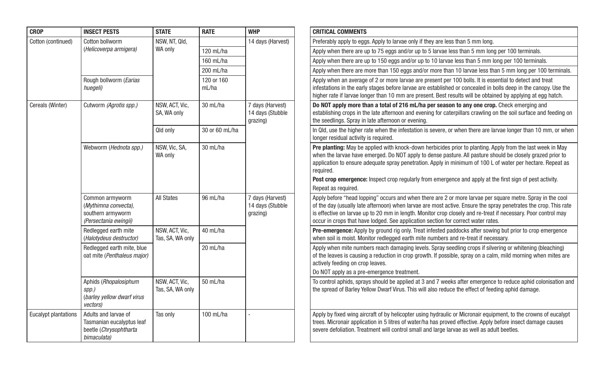| <b>CROP</b>                 | <b>INSECT PESTS</b>                                                                        | <b>STATE</b>                       | <b>RATE</b>         | <b>WHP</b>                                       | <b>CRITICAL COMMENTS</b>                                                                                        |
|-----------------------------|--------------------------------------------------------------------------------------------|------------------------------------|---------------------|--------------------------------------------------|-----------------------------------------------------------------------------------------------------------------|
| Cotton (continued)          | Cotton bollworm                                                                            | NSW, NT, Qld,                      |                     | 14 days (Harvest)                                | Preferably apply to egg                                                                                         |
|                             | (Helicoverpa armigera)                                                                     | WA only                            | 120 mL/ha           |                                                  | Apply when there are u                                                                                          |
|                             |                                                                                            |                                    | 160 mL/ha           |                                                  | Apply when there are u                                                                                          |
|                             |                                                                                            |                                    | 200 mL/ha           |                                                  | Apply when there are r                                                                                          |
|                             | Rough bollworm (Earias<br>huegeli)                                                         |                                    | 120 or 160<br>mL/ha |                                                  | Apply when an average<br>infestations in the early<br>higher rate if larvae lor                                 |
| Cereals (Winter)            | Cutworm (Agrotis spp.)                                                                     | NSW. ACT. Vic.<br>SA, WA only      | 30 mL/ha            | 7 days (Harvest)<br>14 days (Stubble<br>grazing) | Do NOT apply more th<br>establishing crops in th<br>the seedlings. Spray in                                     |
|                             |                                                                                            | Qld only                           | 30 or 60 mL/ha      |                                                  | In Qld, use the higher r<br>longer residual activity                                                            |
|                             | Webworm (Hednota spp.)                                                                     | NSW, Vic, SA,<br>WA only           | 30 mL/ha            |                                                  | Pre planting: May be a<br>when the larvae have e<br>application to ensure a<br>required.<br>Post crop emergence |
|                             |                                                                                            |                                    |                     |                                                  | Repeat as required.                                                                                             |
|                             | Common armyworm<br>(Mythimna convecta),<br>southern armyworm<br>(Persectania ewingii)      | <b>All States</b>                  | 96 mL/ha            | 7 days (Harvest)<br>14 days (Stubble<br>grazing) | Apply before "head lop<br>of the day (usually late<br>is effective on larvae u<br>occur in crops that hav       |
|                             | Redlegged earth mite<br>(Halotydeus destructor)                                            | NSW, ACT, Vic,<br>Tas, SA, WA only | 40 mL/ha            |                                                  | Pre-emergence: Apply<br>when soil is moist. Mor                                                                 |
|                             | Redlegged earth mite, blue<br>oat mite (Penthaleus major)                                  |                                    | 20 mL/ha            |                                                  | Apply when mite numb<br>of the leaves is causino<br>actively feeding on cro<br>Do NOT apply as a pre-           |
|                             | Aphids (Rhopalosiphum<br>$spp.$ )<br>(barley yellow dwarf virus<br>vectors)                | NSW, ACT, Vic,<br>Tas, SA, WA only | 50 mL/ha            |                                                  | To control aphids, spra<br>the spread of Barley Ye                                                              |
| <b>Eucalypt plantations</b> | Adults and larvae of<br>Tasmanian eucalyptus leaf<br>beetle (Chrysophtharta<br>bimaculata) | Tas only                           | 100 mL/ha           | L                                                | Apply by fixed wing air<br>trees. Micronair applica<br>severe defoliation. Trea                                 |

| <b>STATE</b>                       | <b>RATE</b>         | <b>WHP</b>                                       | <b>CRITICAL COMMENTS</b>                                                                                                                                                                                                                                                                                                                                                                                                              |
|------------------------------------|---------------------|--------------------------------------------------|---------------------------------------------------------------------------------------------------------------------------------------------------------------------------------------------------------------------------------------------------------------------------------------------------------------------------------------------------------------------------------------------------------------------------------------|
| NSW, NT, Qld,                      |                     | 14 days (Harvest)                                | Preferably apply to eggs. Apply to larvae only if they are less than 5 mm long.                                                                                                                                                                                                                                                                                                                                                       |
| WA only                            | 120 mL/ha           |                                                  | Apply when there are up to 75 eggs and/or up to 5 larvae less than 5 mm long per 100 terminals.                                                                                                                                                                                                                                                                                                                                       |
|                                    | 160 mL/ha           |                                                  | Apply when there are up to 150 eggs and/or up to 10 larvae less than 5 mm long per 100 terminals.                                                                                                                                                                                                                                                                                                                                     |
|                                    | 200 mL/ha           |                                                  | Apply when there are more than 150 eggs and/or more than 10 larvae less than 5 mm long per 100 terminals.                                                                                                                                                                                                                                                                                                                             |
|                                    | 120 or 160<br>mL/ha |                                                  | Apply when an average of 2 or more larvae are present per 100 bolls. It is essential to detect and treat<br>infestations in the early stages before larvae are established or concealed in bolls deep in the canopy. Use the<br>higher rate if larvae longer than 10 mm are present. Best results will be obtained by applying at egg hatch.                                                                                          |
| NSW, ACT, Vic,<br>SA, WA only      | 30 mL/ha            | 7 days (Harvest)<br>14 days (Stubble<br>grazing) | Do NOT apply more than a total of 216 mL/ha per season to any one crop. Check emerging and<br>establishing crops in the late afternoon and evening for caterpillars crawling on the soil surface and feeding on<br>the seedlings. Spray in late afternoon or evening.                                                                                                                                                                 |
| Qld only                           | 30 or 60 mL/ha      |                                                  | In Qld, use the higher rate when the infestation is severe, or when there are larvae longer than 10 mm, or when<br>longer residual activity is required.                                                                                                                                                                                                                                                                              |
| NSW, Vic, SA,<br>WA only           | 30 mL/ha            |                                                  | Pre planting: May be applied with knock-down herbicides prior to planting. Apply from the last week in May<br>when the larvae have emerged. Do NOT apply to dense pasture. All pasture should be closely grazed prior to<br>application to ensure adequate spray penetration. Apply in minimum of 100 L of water per hectare. Repeat as<br>required.                                                                                  |
|                                    |                     |                                                  | Post crop emergence: Inspect crop regularly from emergence and apply at the first sign of pest activity.                                                                                                                                                                                                                                                                                                                              |
|                                    |                     |                                                  | Repeat as required.                                                                                                                                                                                                                                                                                                                                                                                                                   |
| <b>All States</b>                  | 96 mL/ha            | 7 days (Harvest)<br>14 days (Stubble<br>grazing) | Apply before "head lopping" occurs and when there are 2 or more larvae per square metre. Spray in the cool<br>of the day (usually late afternoon) when larvae are most active. Ensure the spray penetrates the crop. This rate<br>is effective on larvae up to 20 mm in length. Monitor crop closely and re-treat if necessary. Poor control may<br>occur in crops that have lodged. See application section for correct water rates. |
| NSW, ACT, Vic,<br>Tas, SA, WA only | 40 mL/ha            |                                                  | <b>Pre-emergence:</b> Apply by ground rig only. Treat infested paddocks after sowing but prior to crop emergence<br>when soil is moist. Monitor redlegged earth mite numbers and re-treat if necessary.                                                                                                                                                                                                                               |
|                                    | 20 mL/ha            |                                                  | Apply when mite numbers reach damaging levels. Spray seedling crops if silvering or whitening (bleaching)<br>of the leaves is causing a reduction in crop growth. If possible, spray on a calm, mild morning when mites are<br>actively feeding on crop leaves.                                                                                                                                                                       |
|                                    |                     |                                                  | Do NOT apply as a pre-emergence treatment.                                                                                                                                                                                                                                                                                                                                                                                            |
| NSW, ACT, Vic,<br>Tas, SA, WA only | 50 mL/ha            |                                                  | To control aphids, sprays should be applied at 3 and 7 weeks after emergence to reduce aphid colonisation and<br>the spread of Barley Yellow Dwarf Virus. This will also reduce the effect of feeding aphid damage.                                                                                                                                                                                                                   |
| Tas only                           | 100 mL/ha           | ÷                                                | Apply by fixed wing aircraft of by helicopter using hydraulic or Micronair equipment, to the crowns of eucalypt<br>trees. Micronair application in 5 litres of water/ha has proved effective. Apply before insect damage causes<br>severe defoliation. Treatment will control small and large larvae as well as adult beetles.                                                                                                        |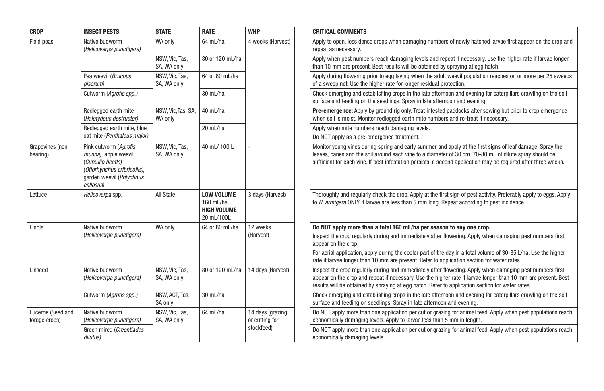| <b>CROP</b>                        | <b>INSECT PESTS</b>                                                                                                                          | <b>STATE</b>                  | <b>RATE</b>                                                        | <b>WHP</b>                         | <b>CRITICAL COMMENTS</b>                                                                                                                                                                                                                                                                                                                                                                                                   |
|------------------------------------|----------------------------------------------------------------------------------------------------------------------------------------------|-------------------------------|--------------------------------------------------------------------|------------------------------------|----------------------------------------------------------------------------------------------------------------------------------------------------------------------------------------------------------------------------------------------------------------------------------------------------------------------------------------------------------------------------------------------------------------------------|
| Field peas                         | Native budworm<br>(Helicoverpa punctigera)                                                                                                   | WA only                       | 64 mL/ha                                                           | 4 weeks (Harvest)                  | Apply to open, less dense crops when damaging numbers of newly hatched larvae first appear on the crop and<br>repeat as necessary.                                                                                                                                                                                                                                                                                         |
|                                    |                                                                                                                                              | NSW, Vic, Tas,<br>SA, WA only | 80 or 120 mL/ha                                                    |                                    | Apply when pest numbers reach damaging levels and repeat if necessary. Use the higher rate if larvae longer<br>than 10 mm are present. Best results will be obtained by spraying at egg hatch.                                                                                                                                                                                                                             |
|                                    | Pea weevil (Bruchus<br>pisorum)                                                                                                              | NSW. Vic. Tas.<br>SA, WA only | 64 or 80 mL/ha                                                     |                                    | Apply during flowering prior to egg laying when the adult weevil population reaches on or more per 25 sweeps<br>of a sweep net. Use the higher rate for longer residual protection.                                                                                                                                                                                                                                        |
|                                    | Cutworm (Agrotis spp.)                                                                                                                       |                               | 30 mL/ha                                                           |                                    | Check emerging and establishing crops in the late afternoon and evening for caterpillars crawling on the soil<br>surface and feeding on the seedlings. Spray in late afternoon and evening.                                                                                                                                                                                                                                |
|                                    | Redlegged earth mite<br>(Halotydeus destructor)                                                                                              | NSW, Vic, Tas, SA,<br>WA only | 40 mL/ha                                                           |                                    | <b>Pre-emergence:</b> Apply by ground rig only. Treat infested paddocks after sowing but prior to crop emergence<br>when soil is moist. Monitor redlegged earth mite numbers and re-treat if necessary.                                                                                                                                                                                                                    |
|                                    | Redlegged earth mite, blue<br>oat mite (Penthaleus major)                                                                                    |                               | 20 mL/ha                                                           |                                    | Apply when mite numbers reach damaging levels.<br>Do NOT apply as a pre-emergence treatment.                                                                                                                                                                                                                                                                                                                               |
| Grapevines (non<br>bearing)        | Pink cutworm (Agrotis<br>munda), apple weevil<br>(Curculio beetle)<br>(Otiorhynchus cribricollis),<br>garden weevil (Phlyctinus<br>callosus) | NSW, Vic, Tas,<br>SA, WA only | 40 mL/100 L                                                        |                                    | Monitor young vines during spring and early summer and apply at the first signs of leaf damage. Spray the<br>leaves, canes and the soil around each vine to a diameter of 30 cm. 70-80 mL of dilute spray should be<br>sufficient for each vine. If pest infestation persists, a second application may be required after three weeks.                                                                                     |
| Lettuce                            | Helicoverpa spp.                                                                                                                             | All State                     | <b>LOW VOLUME</b><br>160 mL/ha<br><b>HIGH VOLUME</b><br>20 mL/100L | 3 days (Harvest)                   | Thoroughly and regularly check the crop. Apply at the first sign of pest activity. Preferably apply to eggs. Apply<br>to <i>H. armigera</i> ONLY if larvae are less than 5 mm long. Repeat according to pest incidence.                                                                                                                                                                                                    |
| Linola                             | Native budworm<br>(Helicoverpa punctigera)                                                                                                   | WA only                       | 64 or 80 mL/ha                                                     | 12 weeks<br>(Harvest)              | Do NOT apply more than a total 160 mL/ha per season to any one crop.<br>Inspect the crop regularly during and immediately after flowering. Apply when damaging pest numbers first<br>appear on the crop.<br>For aerial application, apply during the cooler part of the day in a total volume of 30-35 L/ha. Use the higher<br>rate if larvae longer than 10 mm are present. Refer to application section for water rates. |
| Linseed                            | Native budworm<br>(Helicoverpa punctigera)                                                                                                   | NSW, Vic, Tas,<br>SA, WA only | 80 or 120 mL/ha                                                    | 14 days (Harvest)                  | Inspect the crop regularly during and immediately after flowering. Apply when damaging pest numbers first<br>appear on the crop and repeat if necessary. Use the higher rate if larvae longer than 10 mm are present. Best<br>results will be obtained by spraying at egg hatch. Refer to application section for water rates.                                                                                             |
|                                    | Cutworm (Agrotis spp.)                                                                                                                       | NSW, ACT, Tas,<br>SA only     | 30 mL/ha                                                           |                                    | Check emerging and establishing crops in the late afternoon and evening for caterpillars crawling on the soil<br>surface and feeding on seedlings. Spray in late afternoon and evening.                                                                                                                                                                                                                                    |
| Lucerne (Seed and<br>forage crops) | Native budworm<br>(Helicoverpa punctigera)                                                                                                   | NSW, Vic, Tas,<br>SA, WA only | 64 mL/ha                                                           | 14 days (grazing<br>or cutting for | Do NOT apply more than one application per cut or grazing for animal feed. Apply when pest populations reach<br>economically damaging levels. Apply to larvae less than 5 mm in length.                                                                                                                                                                                                                                    |
|                                    | Green mired (Creontiades<br>dilutus)                                                                                                         |                               |                                                                    | stockfeed)                         | Do NOT apply more than one application per cut or grazing for animal feed. Apply when pest populations reach<br>economically damaging levels.                                                                                                                                                                                                                                                                              |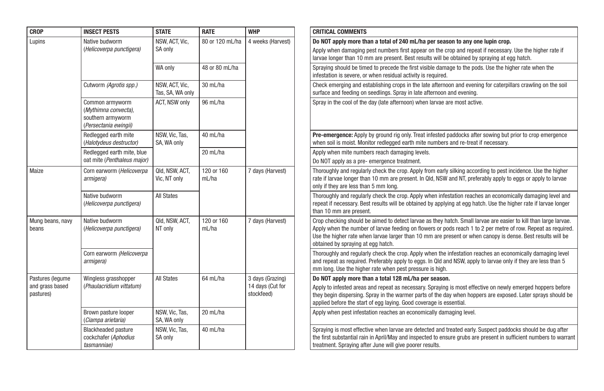| <b>CROP</b>                  | <b>INSECT PESTS</b>                                                                   | <b>STATE</b>                       | <b>RATE</b>         | <b>WHP</b>                     | <b>CRITICAL COMMENTS</b>                                                                                                                                                                                                                                                                                                                                                               |
|------------------------------|---------------------------------------------------------------------------------------|------------------------------------|---------------------|--------------------------------|----------------------------------------------------------------------------------------------------------------------------------------------------------------------------------------------------------------------------------------------------------------------------------------------------------------------------------------------------------------------------------------|
| Lupins                       | Native budworm<br>(Helicoverpa punctigera)                                            | NSW, ACT, Vic,<br>SA only          | 80 or 120 mL/ha     | 4 weeks (Harvest)              | Do NOT apply more than a total of 240 mL/ha per season to any one lupin crop.<br>Apply when damaging pest numbers first appear on the crop and repeat if necessary. Use the higher rate if<br>larvae longer than 10 mm are present. Best results will be obtained by spraying at egg hatch.                                                                                            |
|                              |                                                                                       | WA only                            | 48 or 80 mL/ha      |                                | Spraying should be timed to precede the first visible damage to the pods. Use the higher rate when the<br>infestation is severe, or when residual activity is required.                                                                                                                                                                                                                |
|                              | Cutworm (Agrotis spp.)                                                                | NSW, ACT, Vic,<br>Tas, SA, WA only | 30 mL/ha            |                                | Check emerging and establishing crops in the late afternoon and evening for caterpillars crawling on the soil<br>surface and feeding on seedlings. Spray in late afternoon and evening.                                                                                                                                                                                                |
|                              | Common armyworm<br>(Mythimna convecta),<br>southern armyworm<br>(Persectania ewingii) | ACT, NSW only                      | 96 mL/ha            |                                | Spray in the cool of the day (late afternoon) when larvae are most active.                                                                                                                                                                                                                                                                                                             |
|                              | Redlegged earth mite<br>(Halotydeus destructor)                                       | NSW, Vic, Tas,<br>SA, WA only      | 40 mL/ha            |                                | Pre-emergence: Apply by ground rig only. Treat infested paddocks after sowing but prior to crop emergence<br>when soil is moist. Monitor redlegged earth mite numbers and re-treat if necessary.                                                                                                                                                                                       |
|                              | Redlegged earth mite, blue                                                            |                                    | 20 mL/ha            |                                | Apply when mite numbers reach damaging levels.                                                                                                                                                                                                                                                                                                                                         |
|                              | oat mite (Penthaleus maior)                                                           |                                    |                     |                                | Do NOT apply as a pre-emergence treatment.                                                                                                                                                                                                                                                                                                                                             |
| Maize                        | Corn earworm (Helicoverpa<br>armigera)                                                | Qld, NSW, ACT,<br>Vic, NT only     | 120 or 160<br>mL/ha | 7 days (Harvest)               | Thoroughly and regularly check the crop. Apply from early silking according to pest incidence. Use the higher<br>rate if larvae longer than 10 mm are present. In Qld, NSW and NT, preferably apply to eggs or apply to larvae<br>only if they are less than 5 mm long.                                                                                                                |
|                              | Native budworm<br>(Helicoverpa punctigera)                                            | <b>All States</b>                  |                     |                                | Thoroughly and regularly check the crop. Apply when infestation reaches an economically damaging level and<br>repeat if necessary. Best results will be obtained by applying at egg hatch. Use the higher rate if larvae longer<br>than 10 mm are present.                                                                                                                             |
| Mung beans, navy<br>beans    | Native budworm<br>(Helicoverpa punctigera)                                            | Qld. NSW. ACT.<br>NT only          | 120 or 160<br>mL/ha | 7 days (Harvest)               | Crop checking should be aimed to detect larvae as they hatch. Small larvae are easier to kill than large larvae.<br>Apply when the number of larvae feeding on flowers or pods reach 1 to 2 per metre of row. Repeat as required.<br>Use the higher rate when larvae larger than 10 mm are present or when canopy is dense. Best results will be<br>obtained by spraying at egg hatch. |
|                              | Corn earworm (Helicoverpa<br>armigera)                                                |                                    |                     |                                | Thoroughly and regularly check the crop. Apply when the infestation reaches an economically damaging level<br>and repeat as required. Preferably apply to eggs. In Qld and NSW, apply to larvae only if they are less than 5<br>mm long. Use the higher rate when pest pressure is high.                                                                                               |
| Pastures (legume             | Wingless grasshopper                                                                  | <b>All States</b>                  | 64 mL/ha            | 3 days (Grazing)               | Do NOT apply more than a total 128 mL/ha per season.                                                                                                                                                                                                                                                                                                                                   |
| and grass based<br>pastures) | (Phaulacridium vittatum)                                                              |                                    |                     | 14 days (Cut for<br>stockfeed) | Apply to infested areas and repeat as necessary. Spraying is most effective on newly emerged hoppers before<br>they begin dispersing. Spray in the warmer parts of the day when hoppers are exposed. Later sprays should be<br>applied before the start of egg laying. Good coverage is essential.                                                                                     |
|                              | Brown pasture looper<br>(Ciampa arietaria)                                            | NSW, Vic, Tas,<br>SA, WA only      | 20 mL/ha            |                                | Apply when pest infestation reaches an economically damaging level.                                                                                                                                                                                                                                                                                                                    |
|                              | <b>Blackheaded pasture</b><br>cockchafer (Aphodius<br>tasmanniae)                     | NSW. Vic. Tas.<br>SA only          | 40 mL/ha            |                                | Spraying is most effective when larvae are detected and treated early. Suspect paddocks should be dug after<br>the first substantial rain in April/May and inspected to ensure grubs are present in sufficient numbers to warrant<br>treatment. Spraying after June will give poorer results.                                                                                          |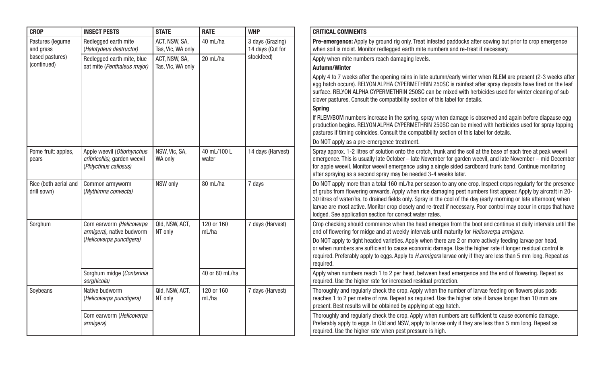| <b>CROP</b>                          | <b>INSECT PESTS</b>                                                                 | <b>STATE</b>                       | <b>RATE</b>          | <b>WHP</b>                           | <b>CRITICAL COMMENTS</b>                                                                                                                                                                                                                                                                                                                                                                                                                                                                                                              |
|--------------------------------------|-------------------------------------------------------------------------------------|------------------------------------|----------------------|--------------------------------------|---------------------------------------------------------------------------------------------------------------------------------------------------------------------------------------------------------------------------------------------------------------------------------------------------------------------------------------------------------------------------------------------------------------------------------------------------------------------------------------------------------------------------------------|
| Pastures (lequme<br>and grass        | Redlegged earth mite<br>(Halotydeus destructor)                                     | ACT, NSW, SA,<br>Tas, Vic, WA only | 40 mL/ha             | 3 days (Grazing)<br>14 days (Cut for | <b>Pre-emergence:</b> Apply by ground rig only. Treat infested paddocks after sowing but prior to crop emergence<br>when soil is moist. Monitor redlegged earth mite numbers and re-treat if necessary.                                                                                                                                                                                                                                                                                                                               |
| based pastures)                      | Redlegged earth mite, blue                                                          | ACT, NSW, SA,                      | 20 mL/ha             | stockfeed)                           | Apply when mite numbers reach damaging levels.                                                                                                                                                                                                                                                                                                                                                                                                                                                                                        |
| (continued)                          | oat mite (Penthaleus major)                                                         | Tas, Vic, WA only                  |                      |                                      | Autumn/Winter                                                                                                                                                                                                                                                                                                                                                                                                                                                                                                                         |
|                                      |                                                                                     |                                    |                      |                                      | Apply 4 to 7 weeks after the opening rains in late autumn/early winter when RLEM are present (2-3 weeks after<br>egg hatch occurs). RELYON ALPHA CYPERMETHRIN 250SC is rainfast after spray deposits have fired on the leaf<br>surface. RELYON ALPHA CYPERMETHRIN 250SC can be mixed with herbicides used for winter cleaning of sub<br>clover pastures. Consult the compatibility section of this label for details.                                                                                                                 |
|                                      |                                                                                     |                                    |                      |                                      | <b>Spring</b>                                                                                                                                                                                                                                                                                                                                                                                                                                                                                                                         |
|                                      |                                                                                     |                                    |                      |                                      | If RLEM/BOM numbers increase in the spring, spray when damage is observed and again before diapause egg<br>production begins. RELYON ALPHA CYPERMETHRIN 250SC can be mixed with herbicides used for spray topping<br>pastures if timing coincides. Consult the compatibility section of this label for details.                                                                                                                                                                                                                       |
|                                      |                                                                                     |                                    |                      |                                      | Do NOT apply as a pre-emergence treatment.                                                                                                                                                                                                                                                                                                                                                                                                                                                                                            |
| Pome fruit: apples,<br>pears         | Apple weevil (Otiorhynchus<br>cribricollis), garden weevil<br>(Phlyctinus callosus) | NSW, Vic, SA,<br>WA only           | 40 mL/100 L<br>water | 14 days (Harvest)                    | Spray approx. 1-2 litres of solution onto the crotch, trunk and the soil at the base of each tree at peak weevil<br>emergence. This is usually late October - late November for garden weevil, and late November - mid December<br>for apple weevil. Monitor weevil emergence using a single sided cardboard trunk band. Continue monitoring<br>after spraying as a second spray may be needed 3-4 weeks later.                                                                                                                       |
| Rice (both aerial and<br>drill sown) | Common armyworm<br>(Mythimna convecta)                                              | NSW only                           | 80 mL/ha             | 7 days                               | Do NOT apply more than a total 160 mL/ha per season to any one crop. Inspect crops regularly for the presence<br>of grubs from flowering onwards. Apply when rice damaging pest numbers first appear. Apply by aircraft in 20-<br>30 litres of water/ha, to drained fields only. Spray in the cool of the day (early morning or late afternoon) when<br>larvae are most active. Monitor crop closely and re-treat if necessary. Poor control may occur in crops that have<br>lodged. See application section for correct water rates. |
| Sorghum                              | Corn earworm (Helicoverpa<br>armigera), native budworm                              | Qld, NSW, ACT,<br>NT only          | 120 or 160<br>mL/ha  | 7 days (Harvest)                     | Crop checking should commence when the head emerges from the boot and continue at daily intervals until the<br>end of flowering for midge and at weekly intervals until maturity for <i>Helicoverpa armigera</i> .                                                                                                                                                                                                                                                                                                                    |
|                                      | (Helicoverpa punctigera)                                                            |                                    |                      |                                      | Do NOT apply to tight headed varieties. Apply when there are 2 or more actively feeding larvae per head,<br>or when numbers are sufficient to cause economic damage. Use the higher rate if longer residual control is<br>required. Preferably apply to eggs. Apply to <i>H.armigera</i> larvae only if they are less than 5 mm long. Repeat as<br>required.                                                                                                                                                                          |
|                                      | Sorghum midge (Contarinia<br>sorghicola)                                            |                                    | 40 or 80 mL/ha       |                                      | Apply when numbers reach 1 to 2 per head, between head emergence and the end of flowering. Repeat as<br>required. Use the higher rate for increased residual protection.                                                                                                                                                                                                                                                                                                                                                              |
| Soybeans                             | Native budworm<br>(Helicoverpa punctigera)                                          | Qld, NSW, ACT,<br>NT only          | 120 or 160<br>mL/ha  | 7 days (Harvest)                     | Thoroughly and regularly check the crop. Apply when the number of larvae feeding on flowers plus pods<br>reaches 1 to 2 per metre of row. Repeat as required. Use the higher rate if larvae longer than 10 mm are<br>present. Best results will be obtained by applying at egg hatch.                                                                                                                                                                                                                                                 |
|                                      | Corn earworm (Helicoverpa<br>armigera)                                              |                                    |                      |                                      | Thoroughly and regularly check the crop. Apply when numbers are sufficient to cause economic damage.<br>Preferably apply to eggs. In Qld and NSW, apply to larvae only if they are less than 5 mm long. Repeat as<br>required. Use the higher rate when pest pressure is high.                                                                                                                                                                                                                                                        |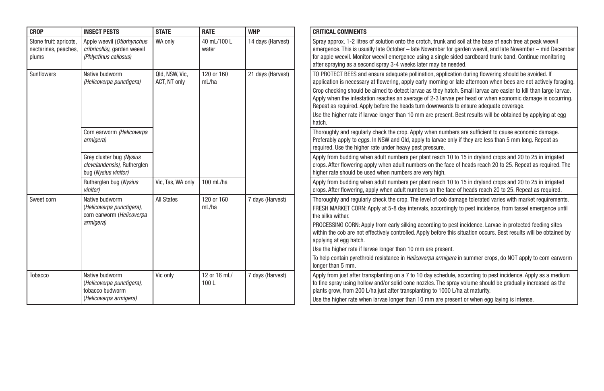| <b>CROP</b>                                             | <b>INSECT PESTS</b>                                                                      | <b>STATE</b>                   | <b>RATE</b>          | <b>WHP</b>        | <b>CRITICAL COMMENTS</b>                                                                                                                                                                                                                                                                                                                                                                                                                                                                                                                                                                                                                                                                                              |
|---------------------------------------------------------|------------------------------------------------------------------------------------------|--------------------------------|----------------------|-------------------|-----------------------------------------------------------------------------------------------------------------------------------------------------------------------------------------------------------------------------------------------------------------------------------------------------------------------------------------------------------------------------------------------------------------------------------------------------------------------------------------------------------------------------------------------------------------------------------------------------------------------------------------------------------------------------------------------------------------------|
| Stone fruit: apricots,<br>nectarines, peaches,<br>plums | Apple weevil (Otiorhynchus<br>cribricollis), garden weevil<br>(Phlyctinus callosus)      | WA only                        | 40 mL/100 L<br>water | 14 days (Harvest) | Spray approx. 1-2 litres of solution onto the crotch, trunk and soil at the base of each tree at peak weevil<br>emergence. This is usually late October – late November for garden weevil, and late November – mid December<br>for apple weevil. Monitor weevil emergence using a single sided cardboard trunk band. Continue monitoring<br>after spraying as a second spray 3-4 weeks later may be needed.                                                                                                                                                                                                                                                                                                           |
| Sunflowers                                              | Native budworm<br>(Helicoverpa punctigera)                                               | Qld, NSW, Vic,<br>ACT, NT only | 120 or 160<br>mL/ha  | 21 days (Harvest) | TO PROTECT BEES and ensure adequate pollination, application during flowering should be avoided. If<br>application is necessary at flowering, apply early morning or late afternoon when bees are not actively foraging<br>Crop checking should be aimed to detect larvae as they hatch. Small larvae are easier to kill than large larvae.<br>Apply when the infestation reaches an average of 2-3 larvae per head or when economic damage is occurring.<br>Repeat as required. Apply before the heads turn downwards to ensure adequate coverage.<br>Use the higher rate if larvae longer than 10 mm are present. Best results will be obtained by applying at egg<br>hatch.                                        |
|                                                         | Corn earworm (Helicoverpa<br>armigera)                                                   |                                |                      |                   | Thoroughly and regularly check the crop. Apply when numbers are sufficient to cause economic damage.<br>Preferably apply to eggs. In NSW and Qld, apply to larvae only if they are less than 5 mm long. Repeat as<br>required. Use the higher rate under heavy pest pressure.                                                                                                                                                                                                                                                                                                                                                                                                                                         |
|                                                         | Grey cluster bug (Nysius<br>clevelandensis), Rutherglen<br>bug (Nysius vinitor)          |                                |                      |                   | Apply from budding when adult numbers per plant reach 10 to 15 in dryland crops and 20 to 25 in irrigated<br>crops. After flowering apply when adult numbers on the face of heads reach 20 to 25. Repeat as required. The<br>higher rate should be used when numbers are very high.                                                                                                                                                                                                                                                                                                                                                                                                                                   |
|                                                         | Rutherglen bug (Nysius<br>vinitor)                                                       | Vic, Tas, WA only              | 100 mL/ha            |                   | Apply from budding when adult numbers per plant reach 10 to 15 in dryland crops and 20 to 25 in irrigated<br>crops. After flowering, apply when adult numbers on the face of heads reach 20 to 25. Repeat as required.                                                                                                                                                                                                                                                                                                                                                                                                                                                                                                |
| Sweet corn                                              | Native budworm<br>(Helicoverpa punctigera).<br>corn earworm (Helicoverpa<br>armigera)    | <b>All States</b>              | 120 or 160<br>mL/ha  | 7 days (Harvest)  | Thoroughly and regularly check the crop. The level of cob damage tolerated varies with market requirements.<br>FRESH MARKET CORN: Apply at 5-8 day intervals, accordingly to pest incidence, from tassel emergence until<br>the silks wither.<br>PROCESSING CORN: Apply from early silking according to pest incidence. Larvae in protected feeding sites<br>within the cob are not effectively controlled. Apply before this situation occurs. Best results will be obtained by<br>applying at egg hatch.<br>Use the higher rate if larvae longer than 10 mm are present.<br>To help contain pyrethroid resistance in <i>Helicoverpa armigera</i> in summer crops, do NOT apply to corn earworm<br>longer than 5 mm. |
| Tobacco                                                 | Native budworm<br>(Helicoverpa punctigera),<br>tobacco budworm<br>(Helicoverpa armigera) | Vic only                       | 12 or 16 mL/<br>100L | 7 days (Harvest)  | Apply from just after transplanting on a 7 to 10 day schedule, according to pest incidence. Apply as a medium<br>to fine spray using hollow and/or solid cone nozzles. The spray volume should be gradually increased as the<br>plants grow, from 200 L/ha just after transplanting to 1000 L/ha at maturity.<br>Use the higher rate when larvae longer than 10 mm are present or when egg laying is intense.                                                                                                                                                                                                                                                                                                         |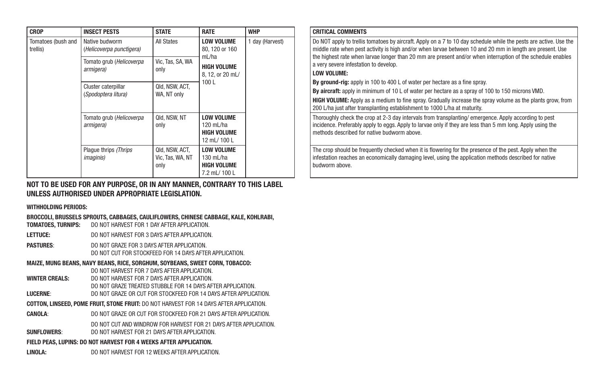| <b>CROP</b>                    | <b>INSECT PESTS</b>                        | <b>STATE</b>                               | <b>RATE</b>                                                             | <b>WHP</b>      |  | <b>CRITICAL COMMENTS</b>                                                                                     |
|--------------------------------|--------------------------------------------|--------------------------------------------|-------------------------------------------------------------------------|-----------------|--|--------------------------------------------------------------------------------------------------------------|
| Tomatoes (bush and<br>trellis) | Native budworm<br>(Helicoverpa punctigera) | <b>All States</b>                          | <b>LOW VOLUME</b><br>80, 120 or 160                                     | 1 day (Harvest) |  | Do NOT apply to trellis<br>middle rate when pest                                                             |
|                                | Tomato grub (Helicoverpa<br>armigera)      | Vic. Tas. SA. WA<br>only                   | mL/ha<br><b>HIGH VOLUME</b><br>8, 12, or 20 mL/                         |                 |  | the highest rate when I<br>a very severe infestatio<br><b>LOW VOLUME:</b>                                    |
|                                | Cluster caterpillar<br>(Spodoptera litura) | Qld, NSW, ACT,<br>WA. NT only              | 100L                                                                    |                 |  | By ground-rig: apply i<br>By aircraft: apply in m<br><b>HIGH VOLUME: Apply a</b><br>200 L/ha just after tran |
|                                | Tomato grub (Helicoverpa<br>armigera)      | Qld. NSW. NT<br>only                       | <b>LOW VOLUME</b><br>120 mL/ha<br><b>HIGH VOLUME</b><br>12 mL/100L      |                 |  | Thoroughly check the o<br>incidence. Preferably a<br>methods described for                                   |
|                                | Plaque thrips (Thrips<br><i>imaginis</i> ) | Qld, NSW, ACT,<br>Vic. Tas. WA. NT<br>only | <b>LOW VOLUME</b><br>130 $mL/ha$<br><b>HIGH VOLUME</b><br>7.2 mL/ 100 L |                 |  | The crop should be free<br>infestation reaches an<br>budworm above.                                          |

#### NOT TO BE USED FOR ANY PURPOSE, OR IN ANY MANNER, CONTRARY TO THIS LABEL UNLESS AUTHORISED UNDER APPROPRIATE LEGISLATION.

WITHHOLDING PERIODS:

BROCCOLI, BRUSSELS SPROUTS, CABBAGES, CAULIFLOWERS, CHINESE CABBAGE, KALE, KOHLRABI,

TOMATOES, TURNIPS: DO NOT HARVEST FOR 1 DAY AFTER APPLICATION.

LETTUCE: DO NOT HARVEST FOR 3 DAYS AFTER APPLICATION.

PASTURES: DO NOT GRAZE FOR 3 DAYS AFTER APPLICATION. DO NOT CUT FOR STOCKFEED FOR 14 DAYS AFTER APPLICATION.

#### MAIZE, MUNG BEANS, NAVY BEANS, RICE, SORGHUM, SOYBEANS, SWEET CORN, TOBACCO:

DO NOT HARVEST FOR 7 DAYS AFTER APPLICATION.

- WINTER CREALS: DO NOT HARVEST FOR 7 DAYS AFTER APPLICATION DO NOT GRAZE TREATED STUBBLE FOR 14 DAYS AFTER APPLICATION.
- LUCERNE: DO NOT GRAZE OR CUT FOR STOCKFEED FOR 14 DAYS AFTER APPLICATION.
- COTTON, LINSEED, POME FRUIT, STONE FRUIT: DO NOT HARVEST FOR 14 DAYS AFTER APPLICATION.
- CANOLA: DO NOT GRAZE OR CUT FOR STOCKFEED FOR 21 DAYS AFTER APPLICATION.
- DO NOT CUT AND WINDROW FOR HARVEST FOR 21 DAYS AFTER APPLICATION. SUNFLOWERS: DO NOT HARVEST FOR 21 DAYS AFTER APPLICATION.

#### FIELD PEAS, LUPINS: DO NOT HARVEST FOR 4 WEEKS AFTER APPLICATION.

LINOLA: DO NOT HARVEST FOR 12 WEEKS AFTER APPLICATION.

| <b>CRITICAL COMMENTS</b>                                                                                          |
|-------------------------------------------------------------------------------------------------------------------|
| Do NOT apply to trellis tomatoes by aircraft. Apply on a 7 to 10 day schedule while the pests are active. Use the |
| middle rate when pest activity is high and/or when larvae between 10 and 20 mm in length are present. Use         |
| the highest rate when larvae longer than 20 mm are present and/or when interruption of the schedule enables       |

#### a very severe infestation to develop. LOW VOLUME:

By ground-rig: apply in 100 to 400 L of water per hectare as a fine spray.

By aircraft: apply in minimum of 10 L of water per hectare as a spray of 100 to 150 microns VMD.

HIGH VOLUME: Apply as a medium to fine spray. Gradually increase the spray volume as the plants grow, from 200 L/ha just after transplanting establishment to 1000 L/ha at maturity.

Thoroughly check the crop at 2-3 day intervals from transplanting/ emergence. Apply according to pest incidence. Preferably apply to eggs. Apply to larvae only if they are less than 5 mm long. Apply using the methods described for native budworm above.

The crop should be frequently checked when it is flowering for the presence of the pest. Apply when the infestation reaches an economically damaging level, using the application methods described for native budworm above.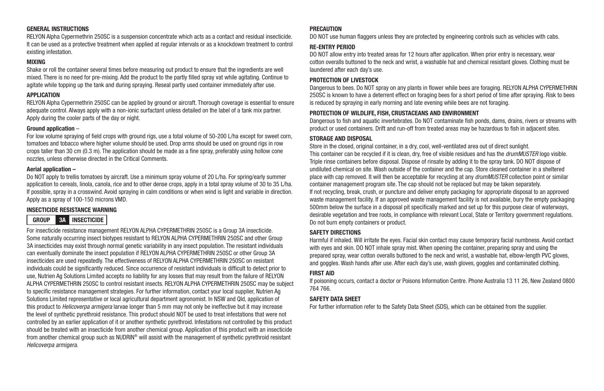#### GENERAL INSTRUCTIONS

RELYON Alpha Cypermethrin 250SC is a suspension concentrate which acts as a contact and residual insecticide. It can be used as a protective treatment when applied at regular intervals or as a knockdown treatment to control existing infestation.

#### MIXING

Shake or roll the container several times before measuring out product to ensure that the ingredients are well mixed. There is no need for pre-mixing. Add the product to the partly filled spray vat while agitating. Continue to agitate while topping up the tank and during spraying. Reseal partly used container immediately after use.

#### APPLICATION

RELYON Alpha Cypermethrin 250SC can be applied by ground or aircraft. Thorough coverage is essential to ensure adequate control. Always apply with a non-ionic surfactant unless detailed on the label of a tank mix partner. Apply during the cooler parts of the day or night.

#### Ground application –

For low volume spraying of field crops with ground rigs, use a total volume of 50-200 L/ha except for sweet corn, tomatoes and tobacco where higher volume should be used. Drop arms should be used on ground rigs in row crops taller than 30 cm (0.3 m). The application should be made as a fine spray, preferably using hollow cone nozzles, unless otherwise directed in the Critical Comments.

#### Aerial application –

Do NOT apply to trellis tomatoes by aircraft. Use a minimum spray volume of 20 L/ha. For spring/early summer application to cereals, linola, canola, rice and to other dense crops, apply in a total spray volume of 30 to 35 L/ha. If possible, spray in a crosswind. Avoid spraying in calm conditions or when wind is light and variable in direction. Apply as a spray of 100-150 microns VMD.

#### INSECTICIDE RESISTANCE WARNING

#### GROUP 3A INSECTICIDE

For insecticide resistance management RELYON ALPHA CYPERMETHRIN 250SC is a Group 3A insecticide. Some naturally occurring insect biotypes resistant to RELYON ALPHA CYPERMETHRIN 250SC and other Group 3A insecticides may exist through normal genetic variability in any insect population. The resistant individuals can eventually dominate the insect population if RELYON ALPHA CYPERMETHRIN 250SC or other Group 3A insecticides are used repeatedly. The effectiveness of RELYON ALPHA CYPERMETHRIN 250SC on resistant individuals could be significantly reduced. Since occurrence of resistant individuals is difficult to detect prior to use, Nutrien Ag Solutions Limited accepts no liability for any losses that may result from the failure of RELYON ALPHA CYPERMETHRIN 250SC to control resistant insects. RELYON ALPHA CYPERMETHRIN 250SC may be subject to specific resistance management strategies. For further information, contact your local supplier, Nutrien Ag Solutions Limited representative or local agricultural department agronomist. In NSW and Qld, application of this product to *Helicoverpa armigera* larvae longer than 5 mm may not only be ineffective but it may increase the level of synthetic pyrethroid resistance. This product should NOT be used to treat infestations that were not controlled by an earlier application of it or another synthetic pyrethroid. Infestations not controlled by this product should be treated with an insecticide from another chemical group. Application of this product with an insecticide from another chemical group such as NUDRIN® will assist with the management of synthetic pyrethroid resistant *Helicoverpa armigera*.

#### **PRECAUTION**

DO NOT use human flaggers unless they are protected by engineering controls such as vehicles with cabs.

#### RE-ENTRY PERIOD

DO NOT allow entry into treated areas for 12 hours after application. When prior entry is necessary, wear cotton overalls buttoned to the neck and wrist, a washable hat and chemical resistant gloves. Clothing must be laundered after each day's use.

#### PROTECTION OF LIVESTOCK

Dangerous to bees. Do NOT spray on any plants in flower while bees are foraging. RELYON ALPHA CYPERMETHRIN 250SC is known to have a deterrent effect on foraging bees for a short period of time after spraying. Risk to bees is reduced by spraying in early morning and late evening while bees are not foraging.

#### PROTECTION OF WILDLIFE, FISH, CRUSTACEANS AND ENVIRONMENT

Dangerous to fish and aquatic invertebrates. Do NOT contaminate fish ponds, dams, drains, rivers or streams with product or used containers. Drift and run-off from treated areas may be hazardous to fish in adjacent sites.

#### STORAGE AND DISPOSAL

Store in the closed, original container, in a dry, cool, well-ventilated area out of direct sunlight. This container can be recycled if it is clean, dry, free of visible residues and has the *drumMUSTER* logo visible. Triple rinse containers before disposal. Dispose of rinsate by adding it to the spray tank. DO NOT dispose of undiluted chemical on site. Wash outside of the container and the cap. Store cleaned container in a sheltered place with cap removed. It will then be acceptable for recycling at any *drumMUSTER* collection point or similar container management program site. The cap should not be replaced but may be taken separately. If not recycling, break, crush, or puncture and deliver empty packaging for appropriate disposal to an approved waste management facility. If an approved waste management facility is not available, bury the empty packaging 500mm below the surface in a disposal pit specifically marked and set up for this purpose clear of waterways, desirable vegetation and tree roots, in compliance with relevant Local, State or Territory government regulations. Do not burn empty containers or product.

#### SAFETY DIRECTIONS

Harmful if inhaled. Will irritate the eyes. Facial skin contact may cause temporary facial numbness. Avoid contact with eyes and skin. DO NOT inhale spray mist. When opening the container, preparing spray and using the prepared spray, wear cotton overalls buttoned to the neck and wrist, a washable hat, elbow-length PVC gloves, and goggles. Wash hands after use. After each day's use, wash gloves, goggles and contaminated clothing.

#### FIRST AID

If poisoning occurs, contact a doctor or Poisons Information Centre. Phone Australia 13 11 26, New Zealand 0800 764 766.

#### SAFETY DATA SHEET

For further information refer to the Safety Data Sheet (SDS), which can be obtained from the supplier.